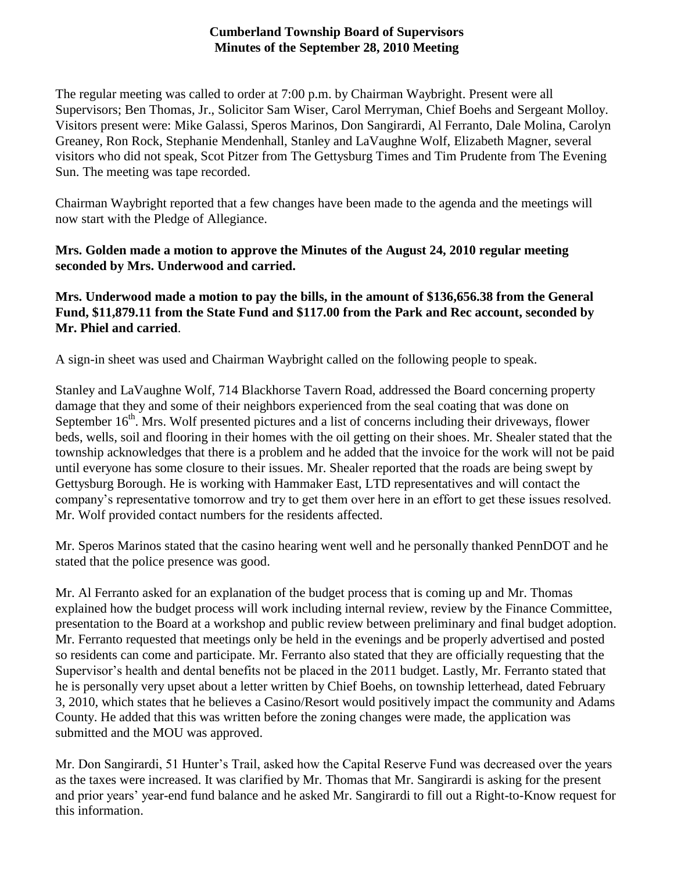## **Cumberland Township Board of Supervisors Minutes of the September 28, 2010 Meeting**

The regular meeting was called to order at 7:00 p.m. by Chairman Waybright. Present were all Supervisors; Ben Thomas, Jr., Solicitor Sam Wiser, Carol Merryman, Chief Boehs and Sergeant Molloy. Visitors present were: Mike Galassi, Speros Marinos, Don Sangirardi, Al Ferranto, Dale Molina, Carolyn Greaney, Ron Rock, Stephanie Mendenhall, Stanley and LaVaughne Wolf, Elizabeth Magner, several visitors who did not speak, Scot Pitzer from The Gettysburg Times and Tim Prudente from The Evening Sun. The meeting was tape recorded.

Chairman Waybright reported that a few changes have been made to the agenda and the meetings will now start with the Pledge of Allegiance.

## **Mrs. Golden made a motion to approve the Minutes of the August 24, 2010 regular meeting seconded by Mrs. Underwood and carried.**

## **Mrs. Underwood made a motion to pay the bills, in the amount of \$136,656.38 from the General Fund, \$11,879.11 from the State Fund and \$117.00 from the Park and Rec account, seconded by Mr. Phiel and carried**.

A sign-in sheet was used and Chairman Waybright called on the following people to speak.

Stanley and LaVaughne Wolf, 714 Blackhorse Tavern Road, addressed the Board concerning property damage that they and some of their neighbors experienced from the seal coating that was done on September 16<sup>th</sup>. Mrs. Wolf presented pictures and a list of concerns including their driveways, flower beds, wells, soil and flooring in their homes with the oil getting on their shoes. Mr. Shealer stated that the township acknowledges that there is a problem and he added that the invoice for the work will not be paid until everyone has some closure to their issues. Mr. Shealer reported that the roads are being swept by Gettysburg Borough. He is working with Hammaker East, LTD representatives and will contact the company's representative tomorrow and try to get them over here in an effort to get these issues resolved. Mr. Wolf provided contact numbers for the residents affected.

Mr. Speros Marinos stated that the casino hearing went well and he personally thanked PennDOT and he stated that the police presence was good.

Mr. Al Ferranto asked for an explanation of the budget process that is coming up and Mr. Thomas explained how the budget process will work including internal review, review by the Finance Committee, presentation to the Board at a workshop and public review between preliminary and final budget adoption. Mr. Ferranto requested that meetings only be held in the evenings and be properly advertised and posted so residents can come and participate. Mr. Ferranto also stated that they are officially requesting that the Supervisor's health and dental benefits not be placed in the 2011 budget. Lastly, Mr. Ferranto stated that he is personally very upset about a letter written by Chief Boehs, on township letterhead, dated February 3, 2010, which states that he believes a Casino/Resort would positively impact the community and Adams County. He added that this was written before the zoning changes were made, the application was submitted and the MOU was approved.

Mr. Don Sangirardi, 51 Hunter's Trail, asked how the Capital Reserve Fund was decreased over the years as the taxes were increased. It was clarified by Mr. Thomas that Mr. Sangirardi is asking for the present and prior years' year-end fund balance and he asked Mr. Sangirardi to fill out a Right-to-Know request for this information.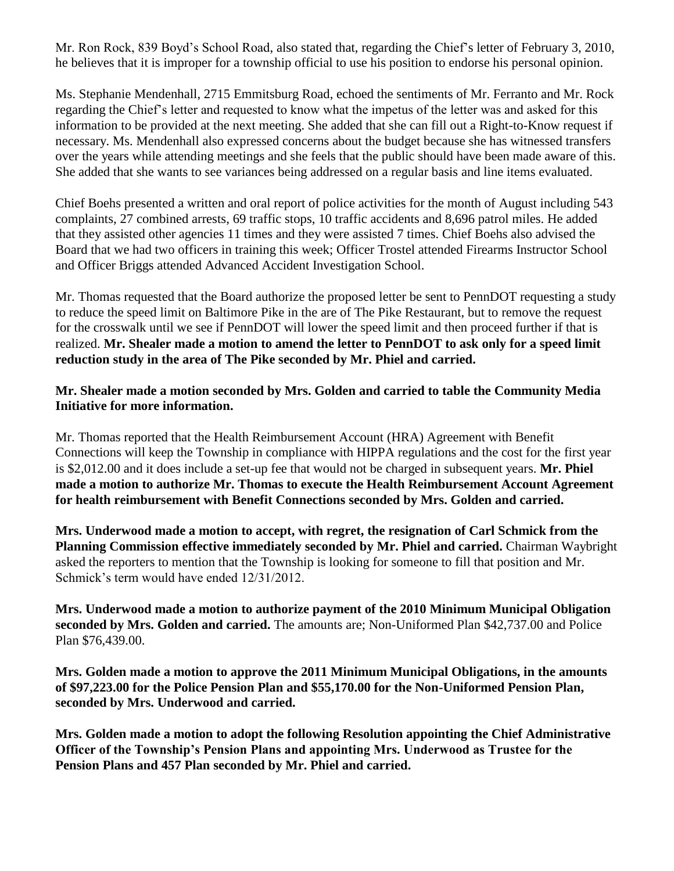Mr. Ron Rock, 839 Boyd's School Road, also stated that, regarding the Chief's letter of February 3, 2010, he believes that it is improper for a township official to use his position to endorse his personal opinion.

Ms. Stephanie Mendenhall, 2715 Emmitsburg Road, echoed the sentiments of Mr. Ferranto and Mr. Rock regarding the Chief's letter and requested to know what the impetus of the letter was and asked for this information to be provided at the next meeting. She added that she can fill out a Right-to-Know request if necessary. Ms. Mendenhall also expressed concerns about the budget because she has witnessed transfers over the years while attending meetings and she feels that the public should have been made aware of this. She added that she wants to see variances being addressed on a regular basis and line items evaluated.

Chief Boehs presented a written and oral report of police activities for the month of August including 543 complaints, 27 combined arrests, 69 traffic stops, 10 traffic accidents and 8,696 patrol miles. He added that they assisted other agencies 11 times and they were assisted 7 times. Chief Boehs also advised the Board that we had two officers in training this week; Officer Trostel attended Firearms Instructor School and Officer Briggs attended Advanced Accident Investigation School.

Mr. Thomas requested that the Board authorize the proposed letter be sent to PennDOT requesting a study to reduce the speed limit on Baltimore Pike in the are of The Pike Restaurant, but to remove the request for the crosswalk until we see if PennDOT will lower the speed limit and then proceed further if that is realized. **Mr. Shealer made a motion to amend the letter to PennDOT to ask only for a speed limit reduction study in the area of The Pike seconded by Mr. Phiel and carried.**

## **Mr. Shealer made a motion seconded by Mrs. Golden and carried to table the Community Media Initiative for more information.**

Mr. Thomas reported that the Health Reimbursement Account (HRA) Agreement with Benefit Connections will keep the Township in compliance with HIPPA regulations and the cost for the first year is \$2,012.00 and it does include a set-up fee that would not be charged in subsequent years. **Mr. Phiel made a motion to authorize Mr. Thomas to execute the Health Reimbursement Account Agreement for health reimbursement with Benefit Connections seconded by Mrs. Golden and carried.**

**Mrs. Underwood made a motion to accept, with regret, the resignation of Carl Schmick from the Planning Commission effective immediately seconded by Mr. Phiel and carried.** Chairman Waybright asked the reporters to mention that the Township is looking for someone to fill that position and Mr. Schmick's term would have ended 12/31/2012.

**Mrs. Underwood made a motion to authorize payment of the 2010 Minimum Municipal Obligation seconded by Mrs. Golden and carried.** The amounts are; Non-Uniformed Plan \$42,737.00 and Police Plan \$76,439.00.

**Mrs. Golden made a motion to approve the 2011 Minimum Municipal Obligations, in the amounts of \$97,223.00 for the Police Pension Plan and \$55,170.00 for the Non-Uniformed Pension Plan, seconded by Mrs. Underwood and carried.**

**Mrs. Golden made a motion to adopt the following Resolution appointing the Chief Administrative Officer of the Township's Pension Plans and appointing Mrs. Underwood as Trustee for the Pension Plans and 457 Plan seconded by Mr. Phiel and carried.**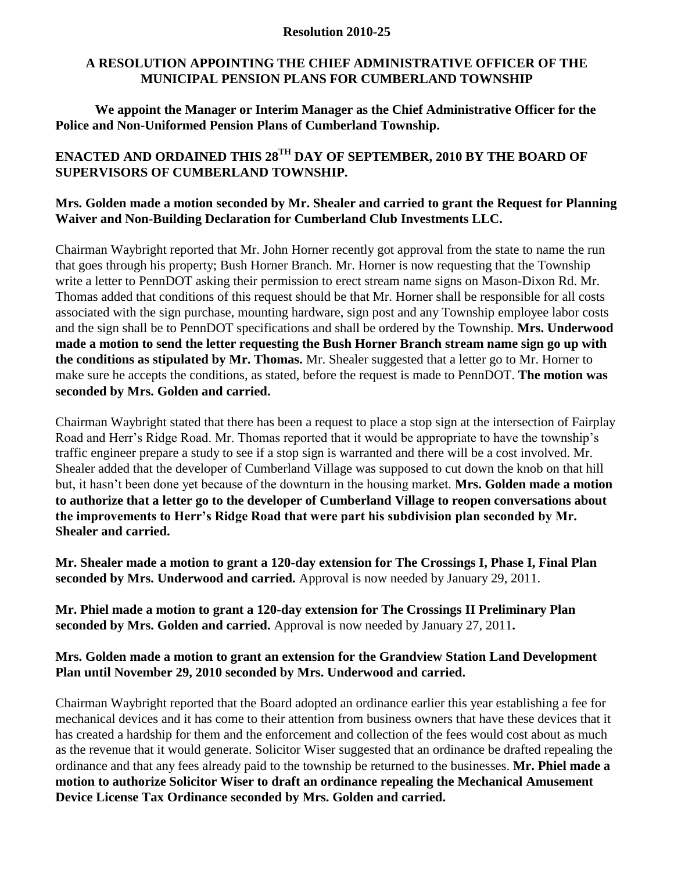#### **Resolution 2010-25**

## **A RESOLUTION APPOINTING THE CHIEF ADMINISTRATIVE OFFICER OF THE MUNICIPAL PENSION PLANS FOR CUMBERLAND TOWNSHIP**

**We appoint the Manager or Interim Manager as the Chief Administrative Officer for the Police and Non-Uniformed Pension Plans of Cumberland Township.**

# **ENACTED AND ORDAINED THIS 28TH DAY OF SEPTEMBER, 2010 BY THE BOARD OF SUPERVISORS OF CUMBERLAND TOWNSHIP.**

### **Mrs. Golden made a motion seconded by Mr. Shealer and carried to grant the Request for Planning Waiver and Non-Building Declaration for Cumberland Club Investments LLC.**

Chairman Waybright reported that Mr. John Horner recently got approval from the state to name the run that goes through his property; Bush Horner Branch. Mr. Horner is now requesting that the Township write a letter to PennDOT asking their permission to erect stream name signs on Mason-Dixon Rd. Mr. Thomas added that conditions of this request should be that Mr. Horner shall be responsible for all costs associated with the sign purchase, mounting hardware, sign post and any Township employee labor costs and the sign shall be to PennDOT specifications and shall be ordered by the Township. **Mrs. Underwood made a motion to send the letter requesting the Bush Horner Branch stream name sign go up with the conditions as stipulated by Mr. Thomas.** Mr. Shealer suggested that a letter go to Mr. Horner to make sure he accepts the conditions, as stated, before the request is made to PennDOT. **The motion was seconded by Mrs. Golden and carried.**

Chairman Waybright stated that there has been a request to place a stop sign at the intersection of Fairplay Road and Herr's Ridge Road. Mr. Thomas reported that it would be appropriate to have the township's traffic engineer prepare a study to see if a stop sign is warranted and there will be a cost involved. Mr. Shealer added that the developer of Cumberland Village was supposed to cut down the knob on that hill but, it hasn't been done yet because of the downturn in the housing market. **Mrs. Golden made a motion to authorize that a letter go to the developer of Cumberland Village to reopen conversations about the improvements to Herr's Ridge Road that were part his subdivision plan seconded by Mr. Shealer and carried.**

**Mr. Shealer made a motion to grant a 120-day extension for The Crossings I, Phase I, Final Plan seconded by Mrs. Underwood and carried.** Approval is now needed by January 29, 2011.

**Mr. Phiel made a motion to grant a 120-day extension for The Crossings II Preliminary Plan seconded by Mrs. Golden and carried.** Approval is now needed by January 27, 2011**.**

## **Mrs. Golden made a motion to grant an extension for the Grandview Station Land Development Plan until November 29, 2010 seconded by Mrs. Underwood and carried.**

Chairman Waybright reported that the Board adopted an ordinance earlier this year establishing a fee for mechanical devices and it has come to their attention from business owners that have these devices that it has created a hardship for them and the enforcement and collection of the fees would cost about as much as the revenue that it would generate. Solicitor Wiser suggested that an ordinance be drafted repealing the ordinance and that any fees already paid to the township be returned to the businesses. **Mr. Phiel made a motion to authorize Solicitor Wiser to draft an ordinance repealing the Mechanical Amusement Device License Tax Ordinance seconded by Mrs. Golden and carried.**